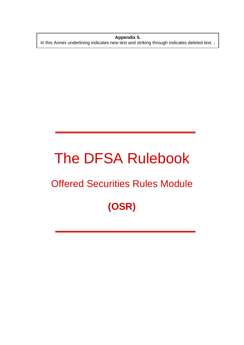**Appendix 5.**  In this Annex underlining indicates new text and striking through indicates deleted text. **.** 

# The DFSA Rulebook

### Offered Securities Rules Module

## **(OSR)**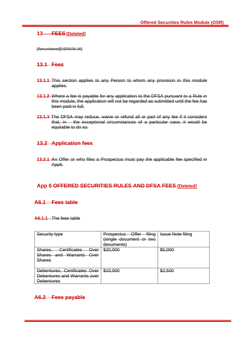#### **13 FEES[Deleted]**

[Renumbered][VER5/06-06]

#### **13.1 Fees**

- **13.1.1** This section applies to any Person to whom any provision in this module applies.
- **13.1.2** Where a fee is payable for any application to the DFSA pursuant to a Rule in this module, the application will not be regarded as submitted until the fee has been paid in full.
- **13.1.3** The DFSA may reduce, waive or refund all or part of any fee if it considers that, in the exceptional circumstances of a particular case, it would be equitable to do so.

#### **13.2 Application fees**

**13.2.1** An Offer or who files a Prospectus must pay the applicable fee specified in App6.

#### **App 6 OFFERED SECURITIES RULES AND DFSA FEES [Deleted]**

#### **A6.1 Fees table**

#### **A6.1.1** The fees table

| <u>Security tyne</u><br><del>ooounty typo</del>                                                                                                                      | filing<br>∩ffer<br>Prospectus<br>omor<br>single document or two<br>documents) | <b>Issue Note filing</b> |
|----------------------------------------------------------------------------------------------------------------------------------------------------------------------|-------------------------------------------------------------------------------|--------------------------|
| <b>Certificates</b><br><b>Sharge</b><br>Over<br><del>onarco.</del><br>Warrants<br><b>Charge</b><br>الصمص<br><b>Over</b><br><del>onarco</del><br>anu<br><b>Shares</b> | ድኃስ ሰሰሰ<br>᠊ <del>ᢦᡔᢦ᠋ᡕᢦᡂ</del>                                               | ᢦᠣᡕᡂᠣ                    |
| Debentures, Certificates Over<br>Debentures and Warrants over<br><b>Debentures</b>                                                                                   | \$10,000                                                                      | ᠊ <del>ᢦ᠘</del> ,ᠸᠸ      |

#### **A6.2 Fees payable**